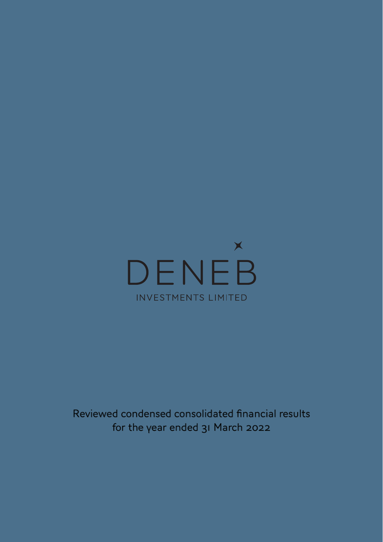

Reviewed condensed consolidated financial results for the year ended 31 March 2022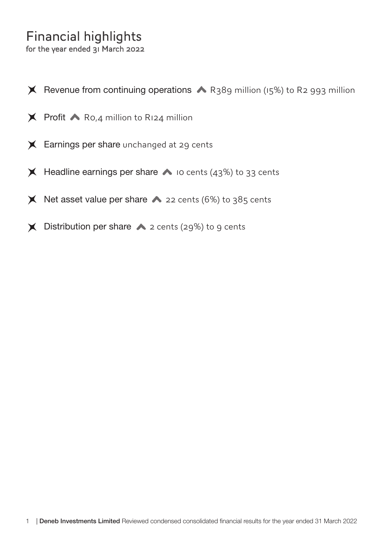# Financial highlights

- $X$  Revenue from continuing operations  $\triangle$  R389 million (15%) to R2 993 million
- $\times$  Profit  $\triangle$  Ro, 4 million to R124 million
- **X** Earnings per share unchanged at 29 cents
- $\blacktriangleright$  Headline earnings per share  $\blacktriangleright$  10 cents (43%) to 33 cents
- $\blacktriangleright$  Net asset value per share  $\blacktriangleright$  22 cents (6%) to 385 cents
- $\blacktriangleright$  Distribution per share  $\blacktriangleright$  2 cents (29%) to 9 cents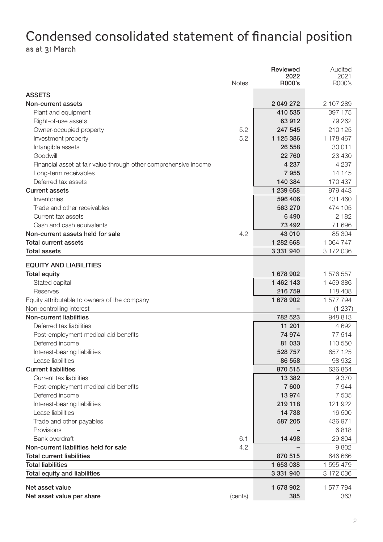### Condensed consolidated statement of financial position as at 31 March

|                                                                  |              | Reviewed       | Audited        |
|------------------------------------------------------------------|--------------|----------------|----------------|
|                                                                  | <b>Notes</b> | 2022<br>R000's | 2021<br>R000's |
|                                                                  |              |                |                |
| <b>ASSETS</b>                                                    |              |                |                |
| Non-current assets                                               |              | 2 049 272      | 2 107 289      |
| Plant and equipment                                              |              | 410 535        | 397 175        |
| Right-of-use assets                                              |              | 63 912         | 79 262         |
| Owner-occupied property                                          | 5.2          | 247 545        | 210 125        |
| Investment property                                              | 5.2          | 1 125 386      | 1 178 467      |
| Intangible assets                                                |              | 26 558         | 30 011         |
| Goodwill                                                         |              | 22 760         | 23 430         |
| Financial asset at fair value through other comprehensive income |              | 4 2 3 7        | 4 2 3 7        |
| Long-term receivables                                            |              | 7955           | 14 145         |
| Deferred tax assets                                              |              | 140 384        | 170 437        |
| <b>Current assets</b>                                            |              | 1 239 658      | 979 443        |
| Inventories                                                      |              | 596 406        | 431 460        |
| Trade and other receivables                                      |              | 563 270        | 474 105        |
| Current tax assets                                               |              | 6490           | 2 1 8 2        |
| Cash and cash equivalents                                        |              | 73 492         | 71 696         |
| Non-current assets held for sale                                 | 4.2          | 43 010         | 85 304         |
| <b>Total current assets</b>                                      |              | 1 282 668      | 1 064 747      |
| <b>Total assets</b>                                              |              | 3 331 940      | 3 172 036      |
| <b>EQUITY AND LIABILITIES</b>                                    |              |                |                |
| <b>Total equity</b>                                              |              | 1 678 902      | 1 576 557      |
| Stated capital                                                   |              | 1 462 143      | 1 459 386      |
| Reserves                                                         |              | 216 759        | 118 408        |
| Equity attributable to owners of the company                     |              | 1 678 902      | 1 577 794      |
| Non-controlling interest                                         |              |                | (1 237)        |
| Non-current liabilities                                          |              | 782 523        | 948 813        |
| Deferred tax liabilities                                         |              | 11 201         | 4 6 9 2        |
| Post-employment medical aid benefits                             |              | 74 974         | 77 514         |
| Deferred income                                                  |              | 81 033         | 110 550        |
| Interest-bearing liabilities                                     |              | 528 757        | 657 125        |
| Lease liabilities                                                |              | 86 558         | 98 932         |
| <b>Current liabilities</b>                                       |              | 870 515        | 636 864        |
| Current tax liabilities                                          |              | 13 3 8 2       | 9370           |
| Post-employment medical aid benefits                             |              | 7600           | 7944           |
| Deferred income                                                  |              | 13 974         | 7 5 3 5        |
| Interest-bearing liabilities                                     |              | 219 118        | 121 922        |
| Lease liabilities                                                |              | 14 738         | 16 500         |
| Trade and other payables                                         |              | 587 205        | 436 971        |
| Provisions                                                       |              |                | 6818           |
| Bank overdraft                                                   | 6.1          | 14 4 98        |                |
| Non-current liabilities held for sale                            | 4.2          |                | 29 804<br>9802 |
| <b>Total current liabilities</b>                                 |              |                |                |
|                                                                  |              | 870 515        | 646 666        |
| <b>Total liabilities</b>                                         |              | 1 653 038      | 1 595 479      |
| Total equity and liabilities                                     |              | 3 331 940      | 3 172 036      |
| Net asset value                                                  |              | 1 678 902      | 1577794        |
| Net asset value per share                                        | (cents)      | 385            | 363            |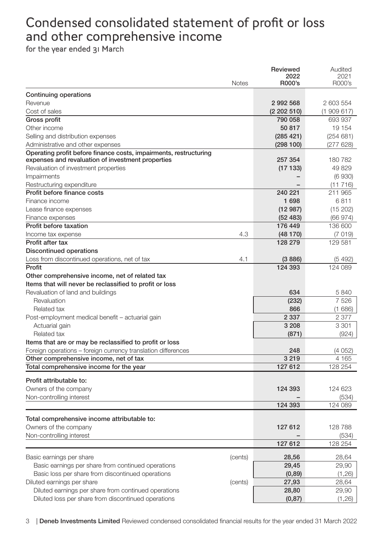## Condensed consolidated statement of profit or loss and other comprehensive income

|                                                                                                                        | Reviewed             | Audited          |
|------------------------------------------------------------------------------------------------------------------------|----------------------|------------------|
| <b>Notes</b>                                                                                                           | 2022<br>R000's       | 2021<br>R000's   |
|                                                                                                                        |                      |                  |
| Continuing operations                                                                                                  |                      |                  |
| Revenue                                                                                                                | 2992568              | 2603554          |
| Cost of sales                                                                                                          | (2202510)<br>790 058 | (1909617)        |
| Gross profit                                                                                                           |                      | 693 937          |
| Other income                                                                                                           | 50817                | 19 154           |
| Selling and distribution expenses                                                                                      | (285 421)            | (254681)         |
| Administrative and other expenses                                                                                      | (298100)             | (277628)         |
| Operating profit before finance costs, impairments, restructuring<br>expenses and revaluation of investment properties | 257 354              | 180 782          |
| Revaluation of investment properties                                                                                   | (17133)              | 49829            |
| <b>Impairments</b>                                                                                                     |                      | (6930)           |
| Restructuring expenditure                                                                                              |                      | (11716)          |
| Profit before finance costs                                                                                            | 240 221              | 211 965          |
| Finance income                                                                                                         | 1698                 | 6811             |
| Lease finance expenses                                                                                                 | (12987)              | (15 202)         |
| Finance expenses                                                                                                       | (52 483)             | (66974)          |
| Profit before taxation                                                                                                 | 176 449              | 136 600          |
| 4.3<br>Income tax expense                                                                                              | (48170)              | (7019)           |
| Profit after tax                                                                                                       | 128 279              | 129 581          |
| <b>Discontinued operations</b>                                                                                         |                      |                  |
| Loss from discontinued operations, net of tax<br>4.1                                                                   | (3886)               | (5 492)          |
| Profit                                                                                                                 | 124 393              | 124 089          |
| Other comprehensive income, net of related tax                                                                         |                      |                  |
| Items that will never be reclassified to profit or loss                                                                |                      |                  |
| Revaluation of land and buildings                                                                                      | 634                  | 5840             |
| Revaluation                                                                                                            | (232)                | 7526             |
| Related tax                                                                                                            | 866                  | (1686)           |
| Post-employment medical benefit - actuarial gain                                                                       | 2 3 3 7              | 2 3 7 7          |
| Actuarial gain                                                                                                         | 3 2 0 8              | 3 3 0 1          |
| Related tax                                                                                                            | (871)                | (924)            |
| Items that are or may be reclassified to profit or loss                                                                |                      |                  |
| Foreign operations - foreign currency translation differences                                                          | 248                  | (4052)           |
| Other comprehensive income, net of tax                                                                                 | 3 2 1 9              | 4 1 6 5          |
| Total comprehensive income for the year                                                                                | 127 612              | 128 254          |
|                                                                                                                        |                      |                  |
| Profit attributable to:                                                                                                |                      |                  |
| Owners of the company                                                                                                  | 124 393              | 124 623          |
| Non-controlling interest                                                                                               | 124 393              | (534)<br>124 089 |
|                                                                                                                        |                      |                  |
| Total comprehensive income attributable to:                                                                            |                      |                  |
| Owners of the company                                                                                                  | 127 612              | 128 788          |
| Non-controlling interest                                                                                               |                      | (534)            |
|                                                                                                                        | 127 612              | 128 254          |
| Basic earnings per share<br>(cents)                                                                                    | 28,56                | 28,64            |
| Basic earnings per share from continued operations                                                                     | 29,45                | 29,90            |
| Basic loss per share from discontinued operations                                                                      | (0,89)               | (1, 26)          |
| Diluted earnings per share<br>(cents)                                                                                  | 27,93                | 28,64            |
| Diluted earnings per share from continued operations                                                                   | 28,80                | 29,90            |
| Diluted loss per share from discontinued operations                                                                    | (0, 87)              | (1, 26)          |
|                                                                                                                        |                      |                  |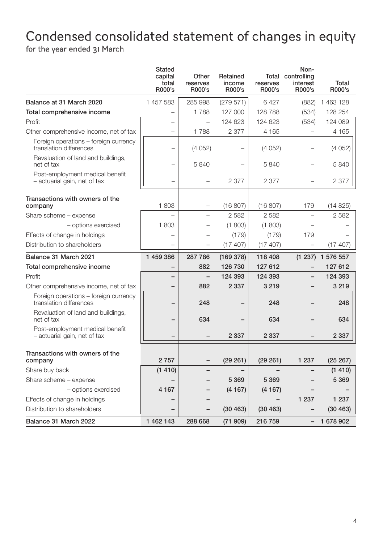# Condensed consolidated statement of changes in equity

|                                                                  | Stated<br>capital<br>total<br>R000's | Other<br>reserves<br>R000's | Retained<br>income<br>R000's | reserves<br>R000's | Non-<br>Total controlling<br>interest<br>R000's | Total<br>R000's |
|------------------------------------------------------------------|--------------------------------------|-----------------------------|------------------------------|--------------------|-------------------------------------------------|-----------------|
| Balance at 31 March 2020                                         | 1 457 583                            | 285 998                     | (279 571)                    | 6427               | (882)                                           | 1463128         |
| Total comprehensive income                                       | $\equiv$                             | 1788                        | 127 000                      | 128788             | (534)                                           | 128 254         |
| Profit                                                           |                                      |                             | 124 623                      | 124 623            | (534)                                           | 124 089         |
| Other comprehensive income, net of tax                           |                                      | 1788                        | 2 3 7 7                      | 4 1 6 5            |                                                 | 4 1 6 5         |
| Foreign operations - foreign currency<br>translation differences |                                      | (4052)                      |                              | (4052)             |                                                 | (4052)          |
| Revaluation of land and buildings,<br>net of tax                 |                                      | 5840                        |                              | 5840               |                                                 | 5840            |
| Post-employment medical benefit<br>- actuarial gain, net of tax  |                                      |                             | 2 3 7 7                      | 2 377              |                                                 | 2377            |
| Transactions with owners of the<br>company                       | 1803                                 |                             | (16 807)                     | (16 807)           | 179                                             | (14825)         |
| Share scheme - expense                                           |                                      |                             | 2582                         | 2 5 8 2            |                                                 | 2582            |
| - options exercised                                              | 1803                                 |                             | (1803)                       | (1803)             |                                                 |                 |
| Effects of change in holdings                                    |                                      |                             | (179)                        | (179)              | 179                                             |                 |
| Distribution to shareholders                                     |                                      |                             | (17 407)                     | (17407)            |                                                 | (17, 407)       |
| Balance 31 March 2021                                            | 1 459 386                            | 287 786                     | (169378)                     | 118 408            | (1 237)                                         | 1 576 557       |
| Total comprehensive income                                       | $\overline{\phantom{0}}$             | 882                         | 126 730                      | 127 612            | $\overline{\phantom{0}}$                        | 127 612         |
| Profit                                                           | -                                    | $\overline{\phantom{0}}$    | 124 393                      | 124 393            | $\overline{\phantom{0}}$                        | 124 393         |
| Other comprehensive income, net of tax                           |                                      | 882                         | 2 3 3 7                      | 3 2 1 9            |                                                 | 3 2 1 9         |
| Foreign operations - foreign currency<br>translation differences | -                                    | 248                         |                              | 248                |                                                 | 248             |
| Revaluation of land and buildings,<br>net of tax                 |                                      | 634                         |                              | 634                |                                                 | 634             |
| Post-employment medical benefit<br>- actuarial gain, net of tax  |                                      |                             | 2 3 3 7                      | 2 3 3 7            |                                                 | 2 3 3 7         |
| Transactions with owners of the<br>company                       | 2757                                 |                             | (29 261)                     | (29 261)           | 1 2 3 7                                         | (25 267)        |
| Share buy back                                                   | (1410)                               |                             |                              |                    |                                                 | (1410)          |
| Share scheme - expense                                           |                                      |                             | 5 3 6 9                      | 5 3 6 9            |                                                 | 5 3 6 9         |
| - options exercised                                              | 4 1 6 7                              |                             | (4167)                       | (4167)             |                                                 |                 |
| Effects of change in holdings                                    |                                      |                             |                              |                    | 1 2 3 7                                         | 1 2 3 7         |
| Distribution to shareholders                                     |                                      |                             | (30 463)                     | (30 463)           |                                                 | (30 463)        |
| Balance 31 March 2022                                            | 1462143                              | 288 668                     | (71 909)                     | 216 759            | $\overline{a}$                                  | 1 678 902       |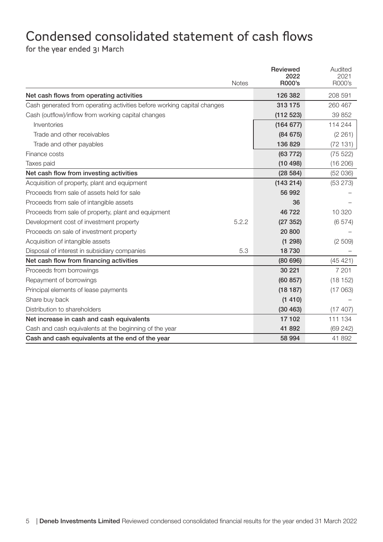### Condensed consolidated statement of cash flows for the year ended 31 March

|                                                                         | <b>Notes</b> | <b>Reviewed</b><br>2022<br>R000's | Audited<br>2021<br>R000's |
|-------------------------------------------------------------------------|--------------|-----------------------------------|---------------------------|
| Net cash flows from operating activities                                |              | 126 382                           | 208 591                   |
| Cash generated from operating activities before working capital changes |              | 313 175                           | 260 467                   |
| Cash (outflow)/inflow from working capital changes                      |              | (112523)                          | 39 852                    |
| Inventories                                                             |              | (164 677)                         | 114 244                   |
| Trade and other receivables                                             |              | (84675)                           | (2 261)                   |
| Trade and other payables                                                |              | 136 829                           | (72131)                   |
| Finance costs                                                           |              | $(63\ 772)$                       | (75 522)                  |
| Taxes paid                                                              |              | (10498)                           | (16 206)                  |
| Net cash flow from investing activities                                 |              | (28584)                           | (52 036)                  |
| Acquisition of property, plant and equipment                            |              | (143 214)                         | (53 273)                  |
| Proceeds from sale of assets held for sale                              |              | 56 992                            |                           |
| Proceeds from sale of intangible assets                                 |              | 36                                |                           |
| Proceeds from sale of property, plant and equipment                     |              | 46722                             | 10 320                    |
| Development cost of investment property                                 | 5.2.2        | (27352)                           | (6574)                    |
| Proceeds on sale of investment property                                 |              | 20 800                            |                           |
| Acquisition of intangible assets                                        |              | (1 298)                           | (2 509)                   |
| Disposal of interest in subsidiary companies                            | 5.3          | 18730                             |                           |
| Net cash flow from financing activities                                 |              | (80696)                           | (45 421)                  |
| Proceeds from borrowings                                                |              | 30 221                            | 7 201                     |
| Repayment of borrowings                                                 |              | (60 857)                          | (18152)                   |
| Principal elements of lease payments                                    |              | (18187)                           | (17063)                   |
| Share buy back                                                          |              | (1410)                            |                           |
| Distribution to shareholders                                            |              | (30 463)                          | (17 407)                  |
| Net increase in cash and cash equivalents                               |              | 17 102                            | 111 134                   |
| Cash and cash equivalents at the beginning of the year                  |              | 41 892                            | (69242)                   |
| Cash and cash equivalents at the end of the year                        |              | 58 994                            | 41 892                    |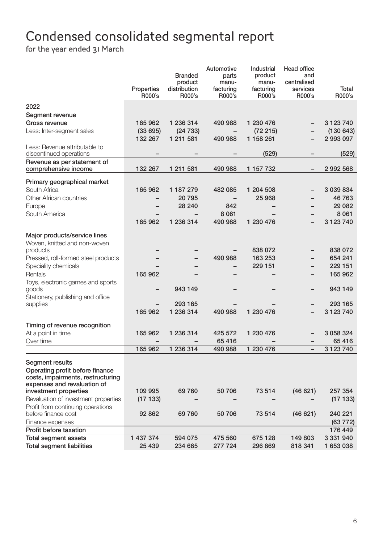# Condensed consolidated segmental report

|                                      |                      |                        | Automotive               | Industrial          | Head office              |                 |
|--------------------------------------|----------------------|------------------------|--------------------------|---------------------|--------------------------|-----------------|
|                                      |                      | <b>Branded</b>         | parts                    | product             | and                      |                 |
|                                      |                      | product                | manu-                    | manu-               | centralised              |                 |
|                                      | Properties<br>R000's | distribution<br>R000's | facturing<br>R000's      | facturing<br>R000's | services<br>R000's       | Total<br>R000's |
|                                      |                      |                        |                          |                     |                          |                 |
| 2022                                 |                      |                        |                          |                     |                          |                 |
| Segment revenue                      |                      |                        |                          |                     |                          |                 |
| Gross revenue                        | 165 962              | 1 236 314              | 490 988                  | 1 230 476           |                          | 3 1 2 3 7 4 0   |
| Less: Inter-segment sales            | (33695)              | (24733)                | $\overline{\phantom{0}}$ | (72 215)            | $\overline{\phantom{0}}$ | (130643)        |
|                                      | 132 267              | 1 211 581              | 490 988                  | 1 158 261           |                          | 2 993 097       |
| Less: Revenue attributable to        |                      |                        |                          |                     |                          |                 |
| discontinued operations              |                      |                        |                          | (529)               |                          | (529)           |
| Revenue as per statement of          |                      |                        |                          |                     |                          |                 |
| comprehensive income                 | 132 267              | 1 211 581              | 490 988                  | 1 157 732           |                          | 2992568         |
| Primary geographical market          |                      |                        |                          |                     |                          |                 |
| South Africa                         | 165 962              | 1 187 279              | 482 085                  | 1 204 508           |                          | 3 039 834       |
| Other African countries              |                      | 20795                  |                          | 25 968              |                          | 46 763          |
| Europe                               |                      | 28 240                 | 842                      |                     |                          | 29 082          |
| South America                        |                      |                        | 8 0 61                   |                     |                          | 8 0 61          |
|                                      | 165 962              | 1 236 314              | 490 988                  | 1 230 476           |                          | 3 123 740       |
|                                      |                      |                        |                          |                     |                          |                 |
| Major products/service lines         |                      |                        |                          |                     |                          |                 |
| Woven, knitted and non-woven         |                      |                        |                          |                     |                          |                 |
| products                             |                      |                        |                          | 838 072             |                          | 838 072         |
| Pressed, roll-formed steel products  |                      |                        | 490 988                  | 163 253             |                          | 654 241         |
| Speciality chemicals                 |                      |                        | -                        | 229 151             |                          | 229 151         |
| Rentals                              | 165 962              |                        |                          |                     |                          | 165 962         |
| Toys, electronic games and sports    |                      |                        |                          |                     |                          |                 |
| goods                                |                      | 943 149                |                          |                     |                          | 943149          |
| Stationery, publishing and office    |                      |                        |                          |                     |                          |                 |
| supplies                             |                      | 293 165                |                          |                     |                          | 293 165         |
|                                      | 165 962              | 1 236 314              | 490 988                  | 1 230 476           | $\overline{\phantom{0}}$ | 3 123 740       |
|                                      |                      |                        |                          |                     |                          |                 |
| Timing of revenue recognition        |                      |                        |                          |                     |                          |                 |
| At a point in time                   | 165 962              | 1 236 314              | 425 572                  | 1 230 476           |                          | 3 058 324       |
| Over time                            |                      |                        | 65416                    |                     |                          | 65 416          |
|                                      | 165 962              | 1 236 314              | 490 988                  | 1 230 476           | $\overline{\phantom{0}}$ | 3 123 740       |
| Segment results                      |                      |                        |                          |                     |                          |                 |
| Operating profit before finance      |                      |                        |                          |                     |                          |                 |
| costs, impairments, restructuring    |                      |                        |                          |                     |                          |                 |
| expenses and revaluation of          |                      |                        |                          |                     |                          |                 |
| investment properties                | 109 995              | 69 760                 | 50 706                   | 73 514              | (46621)                  | 257 354         |
| Revaluation of investment properties | (17 133)             |                        |                          |                     |                          | (17133)         |
| Profit from continuing operations    |                      |                        |                          |                     |                          |                 |
| before finance cost                  | 92 862               | 69 760                 | 50706                    | 73 514              | (46621)                  | 240 221         |
| Finance expenses                     |                      |                        |                          |                     |                          | (63772)         |
| Profit before taxation               |                      |                        |                          |                     |                          | 176 449         |
| Total segment assets                 | 1 437 374            | 594 075                | 475 560                  | 675 128             | 149 803                  | 3 331 940       |
| <b>Total segment liabilities</b>     | 25 439               | 234 665                | 277 724                  | 296 869             | 818 341                  | 1 653 038       |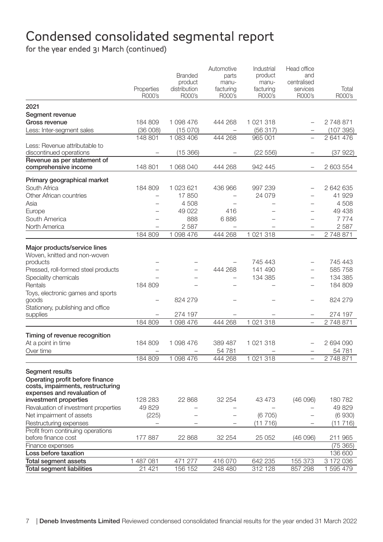# Condensed consolidated segmental report

for the year ended 31 March (continued)

|                                                      |            |                          | Automotive               | Industrial               | Head office              |           |
|------------------------------------------------------|------------|--------------------------|--------------------------|--------------------------|--------------------------|-----------|
|                                                      |            | <b>Branded</b>           | parts                    | product                  | and                      |           |
|                                                      | Properties | product<br>distribution  | manu-<br>facturing       | manu-<br>facturing       | centralised<br>services  | Total     |
|                                                      | R000's     | R000's                   | R000's                   | R000's                   | R000's                   | R000's    |
| 2021                                                 |            |                          |                          |                          |                          |           |
| Segment revenue                                      |            |                          |                          |                          |                          |           |
| Gross revenue                                        | 184 809    | 1098476                  | 444 268                  | 1 021 318                | $\equiv$                 | 2748871   |
| Less: Inter-segment sales                            | (36008)    | (15070)                  |                          | (56317)                  |                          | (107395)  |
|                                                      | 148 801    | 1 083 406                | 444 268                  | 965 001                  |                          | 2641476   |
| Less: Revenue attributable to                        |            |                          |                          |                          |                          |           |
| discontinued operations                              |            | (15, 366)                |                          | (22 556)                 |                          | (37922)   |
| Revenue as per statement of                          |            |                          |                          |                          |                          |           |
| comprehensive income                                 | 148 801    | 1 068 040                | 444 268                  | 942 445                  | $\overline{\phantom{a}}$ | 2 603 554 |
| Primary geographical market                          |            |                          |                          |                          |                          |           |
| South Africa                                         | 184 809    | 1 023 621                | 436 966                  | 997 239                  |                          | 2642635   |
| Other African countries                              |            | 17850                    |                          | 24 0 79                  |                          | 41 929    |
| Asia                                                 | $\equiv$   | 4508                     | ۳                        | $\overline{\phantom{0}}$ | $\equiv$                 | 4 508     |
| Europe                                               |            | 49 022                   | 416                      |                          |                          | 49 438    |
| South America                                        |            | 888                      | 6886                     |                          | $\equiv$                 | 7 7 7 4   |
| North America                                        |            | 2587                     | $\overline{\phantom{m}}$ | $\overline{\phantom{0}}$ | $\overline{\phantom{0}}$ | 2587      |
|                                                      | 184 809    | 1 098 476                | 444 268                  | 1 021 318                | L.                       | 2748871   |
| Major products/service lines                         |            |                          |                          |                          |                          |           |
| Woven, knitted and non-woven                         |            |                          |                          |                          |                          |           |
| products                                             |            |                          |                          | 745 443                  |                          | 745 443   |
| Pressed, roll-formed steel products                  |            | $\overline{\phantom{a}}$ | 444 268                  | 141 490                  | $\equiv$                 | 585 758   |
| Speciality chemicals                                 |            |                          | $\equiv$                 | 134 385                  |                          | 134 385   |
| Rentals                                              | 184 809    |                          |                          |                          | $\equiv$                 | 184 809   |
| Toys, electronic games and sports                    |            |                          |                          |                          |                          |           |
| goods                                                |            | 824 279                  |                          |                          |                          | 824 279   |
| Stationery, publishing and office                    |            |                          |                          |                          |                          |           |
| supplies                                             |            | 274 197                  |                          |                          |                          | 274 197   |
|                                                      | 184 809    | 1098476                  | 444 268                  | 1 021 318                | L.                       | 2748871   |
| Timing of revenue recognition                        |            |                          |                          |                          |                          |           |
| At a point in time                                   | 184 809    | 1 098 476                | 389 487                  | 1 021 318                | $\equiv$                 | 2 694 090 |
| Over time                                            |            | $\overline{\phantom{a}}$ | 54781                    |                          | $\overline{\phantom{0}}$ | 54 781    |
|                                                      | 184 809    | 1 098 476                | 444 268                  | 1 021 318                |                          | 2748871   |
|                                                      |            |                          |                          |                          |                          |           |
| Segment results                                      |            |                          |                          |                          |                          |           |
| Operating profit before finance                      |            |                          |                          |                          |                          |           |
| costs, impairments, restructuring                    |            |                          |                          |                          |                          |           |
| expenses and revaluation of<br>investment properties | 128 283    | 22 868                   | 32 254                   | 43 473                   | (46096)                  | 180782    |
| Revaluation of investment properties                 | 49829      |                          |                          |                          |                          | 49 829    |
| Net impairment of assets                             | (225)      | L,                       | L.                       | (6705)                   |                          | (6930)    |
| Restructuring expenses                               |            |                          | $\overline{\phantom{0}}$ | (11716)                  |                          | (11716)   |
| Profit from continuing operations                    |            |                          |                          |                          |                          |           |
| before finance cost                                  | 177 887    | 22 868                   | 32 254                   | 25 052                   | (46096)                  | 211 965   |
| Finance expenses                                     |            |                          |                          |                          |                          | (75365)   |
| Loss before taxation                                 |            |                          |                          |                          |                          | 136 600   |
| <b>Total segment assets</b>                          | 1 487 081  | 471 277                  | 416 070                  | 642 235                  | 155 373                  | 3 172 036 |
| <b>Total segment liabilities</b>                     | 21 421     | 156 152                  | 248 480                  | 312 128                  | 857 298                  | 1 595 479 |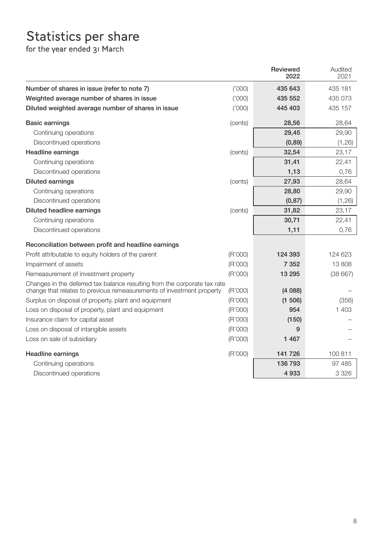# Statistics per share

|                                                                                                                                                    |         | Reviewed<br>2022 | Audited<br>2021 |
|----------------------------------------------------------------------------------------------------------------------------------------------------|---------|------------------|-----------------|
| Number of shares in issue (refer to note 7)                                                                                                        | (1000)  | 435 643          | 435 181         |
| Weighted average number of shares in issue                                                                                                         | (1000)  | 435 552          | 435 073         |
| Diluted weighted average number of shares in issue                                                                                                 | (000)'  | 445 403          | 435 157         |
| <b>Basic earnings</b>                                                                                                                              | (cents) | 28,56            | 28,64           |
| Continuing operations                                                                                                                              |         | 29,45            | 29,90           |
| Discontinued operations                                                                                                                            |         | (0,89)           | (1, 26)         |
| <b>Headline earnings</b>                                                                                                                           | (cents) | 32,54            | 23,17           |
| Continuing operations                                                                                                                              |         | 31,41            | 22,41           |
| Discontinued operations                                                                                                                            |         | 1,13             | 0,76            |
| <b>Diluted earnings</b>                                                                                                                            | (cents) | 27,93            | 28,64           |
| Continuing operations                                                                                                                              |         | 28,80            | 29,90           |
| Discontinued operations                                                                                                                            |         | (0, 87)          | (1, 26)         |
| Diluted headline earnings                                                                                                                          | (cents) | 31,82            | 23,17           |
| Continuing operations                                                                                                                              |         | 30,71            | 22,41           |
| Discontinued operations                                                                                                                            |         | 1,11             | 0,76            |
| Reconciliation between profit and headline earnings                                                                                                |         |                  |                 |
| Profit attributable to equity holders of the parent                                                                                                | (R'000) | 124 393          | 124 623         |
| Impairment of assets                                                                                                                               | (R'000) | 7 3 5 2          | 13 808          |
| Remeasurement of investment property                                                                                                               | (R'000) | 13 295           | (38667)         |
| Changes in the deferred tax balance resulting from the corporate tax rate<br>change that relates to previous remeasurements of investment property | (R'000) | (4088)           |                 |
| Surplus on disposal of property, plant and equipment                                                                                               | (R'000) | (1 506)          | (356)           |
| Loss on disposal of property, plant and equipment                                                                                                  | (R'000) | 954              | 1 403           |
| Insurance claim for capital asset                                                                                                                  | (R'000) | (150)            |                 |
| Loss on disposal of intangible assets                                                                                                              | (R'000) | 9                |                 |
| Loss on sale of subsidiary                                                                                                                         | (R'000) | 1467             |                 |
| Headline earnings                                                                                                                                  | (R'000) | 141 726          | 100 811         |
| Continuing operations                                                                                                                              |         | 136 793          | 97 485          |
| Discontinued operations                                                                                                                            |         | 4933             | 3 3 2 6         |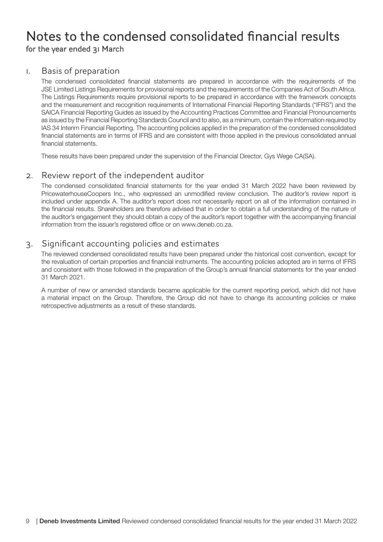#### 1. Basis of preparation

The condensed consolidated financial statements are prepared in accordance with the requirements of the JSE Limited Listings Requirements for provisional reports and the requirements of the Companies Act of South Africa. The Listings Requirements require provisional reports to be prepared in accordance with the framework concepts and the measurement and recognition requirements of International Financial Reporting Standards ("IFRS") and the SAICA Financial Reporting Guides as issued by the Accounting Practices Committee and Financial Pronouncements as issued by the Financial Reporting Standards Council and to also, as a minimum, contain the information required by IAS 34 Interim Financial Reporting. The accounting policies applied in the preparation of the condensed consolidated financial statements are in terms of IFRS and are consistent with those applied in the previous consolidated annual financial statements.

These results have been prepared under the supervision of the Financial Director, Gys Wege CA(SA).

#### 2. Review report of the independent auditor

The condensed consolidated financial statements for the year ended 31 March 2022 have been reviewed by PricewaterhouseCoopers Inc., who expressed an unmodified review conclusion. The auditor's review report is included under appendix A. The auditor's report does not necessarily report on all of the information contained in the financial results. Shareholders are therefore advised that in order to obtain a full understanding of the nature of the auditor's engagement they should obtain a copy of the auditor's report together with the accompanying financial information from the issuer's registered office or on www.deneb.co.za.

#### 3. Significant accounting policies and estimates

The reviewed condensed consolidated results have been prepared under the historical cost convention, except for the revaluation of certain properties and financial instruments. The accounting policies adopted are in terms of IFRS and consistent with those followed in the preparation of the Group's annual financial statements for the year ended 31 March 2021.

A number of new or amended standards became applicable for the current reporting period, which did not have a material impact on the Group. Therefore, the Group did not have to change its accounting policies or make retrospective adjustments as a result of these standards.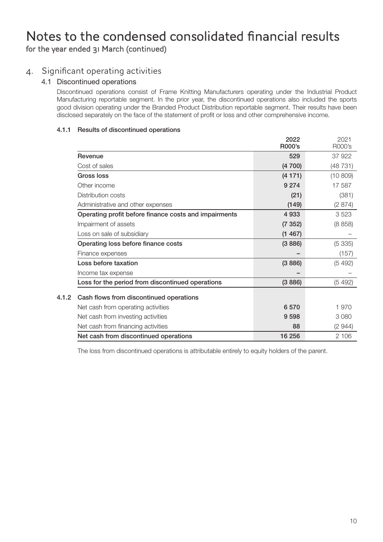#### 4. Significant operating activities

#### 4.1 Discontinued operations

Discontinued operations consist of Frame Knitting Manufacturers operating under the Industrial Product Manufacturing reportable segment. In the prior year, the discontinued operations also included the sports good division operating under the Branded Product Distribution reportable segment. Their results have been disclosed separately on the face of the statement of profit or loss and other comprehensive income.

#### 4.1.1 Results of discontinued operations

|                                                       | 2022<br>R000's | 2021<br>R000's |
|-------------------------------------------------------|----------------|----------------|
| Revenue                                               | 529            | 37922          |
| Cost of sales                                         | (4700)         | (48731)        |
| Gross loss                                            | (4171)         | (10809)        |
| Other income                                          | 9 2 7 4        | 17 587         |
| Distribution costs                                    | (21)           | (381)          |
| Administrative and other expenses                     | (149)          | (2874)         |
| Operating profit before finance costs and impairments | 4933           | 3523           |
| Impairment of assets                                  | (7352)         | (8858)         |
| Loss on sale of subsidiary                            | (1467)         |                |
| Operating loss before finance costs                   | (3886)         | (5335)         |
| Finance expenses                                      |                | (157)          |
| Loss before taxation                                  | (3886)         | (5492)         |
| Income tax expense                                    |                |                |
| Loss for the period from discontinued operations      | (3886)         | (5492)         |
| 4.1.2<br>Cash flows from discontinued operations      |                |                |
| Net cash from operating activities                    | 6570           | 1970           |
| Net cash from investing activities                    | 9598           | 3080           |
| Net cash from financing activities                    | 88             | (2 944)        |
| Net cash from discontinued operations                 | 16 25 6        | 2 106          |

The loss from discontinued operations is attributable entirely to equity holders of the parent.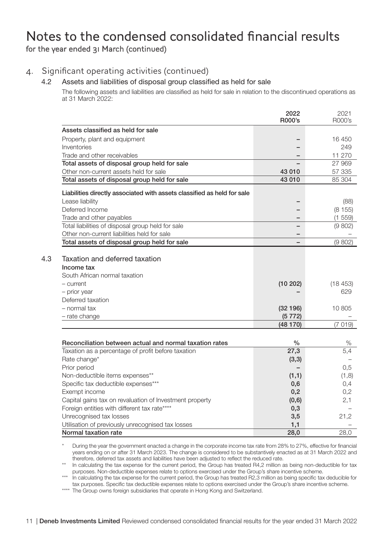#### 4. Significant operating activities (continued)

#### 4.2 Assets and liabilities of disposal group classified as held for sale

The following assets and liabilities are classified as held for sale in relation to the discontinued operations as at 31 March 2022:

|     |                                                                               | 2022<br>R000's | 2021<br>R000's |
|-----|-------------------------------------------------------------------------------|----------------|----------------|
|     | Assets classified as held for sale                                            |                |                |
|     | Property, plant and equipment                                                 |                | 16 450         |
|     | Inventories                                                                   |                | 249            |
|     | Trade and other receivables                                                   |                | 11 270         |
|     | Total assets of disposal group held for sale                                  |                | 27 969         |
|     | Other non-current assets held for sale                                        | 43 010         | 57 335         |
|     | Total assets of disposal group held for sale                                  | 43 010         | 85 304         |
|     | Liabilities directly associated with assets classified as held for sale       |                |                |
|     | Lease liability                                                               |                | (88)           |
|     | Deferred Income                                                               |                | (8155)         |
|     | Trade and other payables                                                      |                | (1 559)        |
|     | Total liabilities of disposal group held for sale                             |                | (9802)         |
|     | Other non-current liabilities held for sale                                   |                |                |
|     | Total assets of disposal group held for sale                                  |                | (9802)         |
| 4.3 | Taxation and deferred taxation<br>Income tax<br>South African normal taxation |                |                |
|     | - current                                                                     | (10202)        | (18453)        |
|     | - prior year                                                                  |                | 629            |
|     | Deferred taxation                                                             |                |                |
|     | - normal tax                                                                  | (32196)        | 10 805         |
|     | - rate change                                                                 | (5772)         |                |
|     |                                                                               | (48 170)       | (7019)         |
|     |                                                                               |                |                |
|     | Reconciliation between actual and normal taxation rates                       | $\frac{0}{0}$  | %              |
|     | Taxation as a percentage of profit before taxation                            | 27,3           | 5,4            |
|     | Rate change*                                                                  | (3,3)          |                |
|     | Prior period                                                                  |                | 0,5            |
|     | Non-deductible items expenses**                                               | (1,1)          | (1,8)          |
|     | Specific tax deductible expenses***                                           | 0,6            | 0,4            |
|     | Exempt income                                                                 | 0,2            | 0,2            |
|     | Capital gains tax on revaluation of Investment property                       | (0,6)          | 2,1            |
|     | Foreign entities with different tax rate****                                  | 0,3            |                |
|     | Unrecognised tax losses                                                       | 3,5            | 21,2           |
|     | Utilisation of previously unrecognised tax losses                             | 1,1            |                |
|     | Normal taxation rate                                                          | 28,0           | 28,0           |

\* During the year the government enacted a change in the corporate income tax rate from 28% to 27%, effective for financial years ending on or after 31 March 2023. The change is considered to be substantively enacted as at 31 March 2022 and therefore, deferred tax assets and liabilities have been adjusted to reflect the reduced rate.

\*\* In calculating the tax expense for the current period, the Group has treated R4,2 million as being non-deductible for tax purposes. Non-deductible expenses relate to options exercised under the Group's share incentive scheme.<br>In calculating the tax expense for the current period, the Group has treated R2,3 million as being specific tax deduci

tax purposes. Specific tax deductible expenses relate to options exercised under the Group's share incentive scheme.

\*\*\*\* The Group owns foreign subsidiaries that operate in Hong Kong and Switzerland.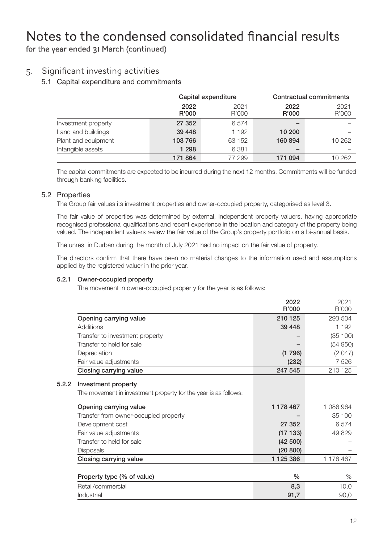#### 5. Significant investing activities

#### 5.1 Capital expenditure and commitments

|                     | Capital expenditure |               |               | Contractual commitments |
|---------------------|---------------------|---------------|---------------|-------------------------|
|                     | 2022<br>R'000       | 2021<br>R'000 | 2022<br>R'000 | 2021<br>R'000           |
| Investment property | 27 352              | 6574          | -             |                         |
| Land and buildings  | 39 448              | 1 192         | 10 200        |                         |
| Plant and equipment | 103 766             | 63 152        | 160894        | 10 262                  |
| Intangible assets   | 1 2 9 8             | 6 3 8 1       | -             |                         |
|                     | 171 864             | 77 299        | 171 094       | 10 262                  |

The capital commitments are expected to be incurred during the next 12 months. Commitments will be funded through banking facilities.

#### 5.2 Properties

The Group fair values its investment properties and owner-occupied property, categorised as level 3.

The fair value of properties was determined by external, independent property valuers, having appropriate recognised professional qualifications and recent experience in the location and category of the property being valued. The independent valuers review the fair value of the Group's property portfolio on a bi-annual basis.

The unrest in Durban during the month of July 2021 had no impact on the fair value of property.

The directors confirm that there have been no material changes to the information used and assumptions applied by the registered valuer in the prior year.

#### 5.2.1 Owner-occupied property

The movement in owner-occupied property for the year is as follows:

| Opening carrying value<br>Additions | 210 125                                                                                                                                                                                                                                                                                                                                                                                                                                              | 293 504   |
|-------------------------------------|------------------------------------------------------------------------------------------------------------------------------------------------------------------------------------------------------------------------------------------------------------------------------------------------------------------------------------------------------------------------------------------------------------------------------------------------------|-----------|
|                                     |                                                                                                                                                                                                                                                                                                                                                                                                                                                      |           |
|                                     | 39 4 48                                                                                                                                                                                                                                                                                                                                                                                                                                              | 1 192     |
| Transfer to investment property     |                                                                                                                                                                                                                                                                                                                                                                                                                                                      | (35 100)  |
|                                     |                                                                                                                                                                                                                                                                                                                                                                                                                                                      | (54950)   |
|                                     | (1796)                                                                                                                                                                                                                                                                                                                                                                                                                                               | (2047)    |
|                                     | (232)                                                                                                                                                                                                                                                                                                                                                                                                                                                | 7526      |
|                                     | 247 545                                                                                                                                                                                                                                                                                                                                                                                                                                              | 210 125   |
|                                     |                                                                                                                                                                                                                                                                                                                                                                                                                                                      |           |
|                                     | 1 178 467                                                                                                                                                                                                                                                                                                                                                                                                                                            | 1 086 964 |
|                                     |                                                                                                                                                                                                                                                                                                                                                                                                                                                      | 35 100    |
|                                     | 27 352                                                                                                                                                                                                                                                                                                                                                                                                                                               | 6574      |
|                                     | (17133)                                                                                                                                                                                                                                                                                                                                                                                                                                              | 49829     |
|                                     | (42500)                                                                                                                                                                                                                                                                                                                                                                                                                                              |           |
|                                     | (20 800)                                                                                                                                                                                                                                                                                                                                                                                                                                             |           |
|                                     | 1 1 2 5 3 8 6                                                                                                                                                                                                                                                                                                                                                                                                                                        | 1 178 467 |
|                                     | $\frac{0}{0}$                                                                                                                                                                                                                                                                                                                                                                                                                                        | %         |
|                                     | 8,3                                                                                                                                                                                                                                                                                                                                                                                                                                                  | 10,0      |
|                                     | 91,7                                                                                                                                                                                                                                                                                                                                                                                                                                                 | 90,0      |
|                                     | Transfer to held for sale<br>Depreciation<br>Fair value adjustments<br>Closing carrying value<br>Investment property<br>The movement in investment property for the year is as follows:<br>Opening carrying value<br>Transfer from owner-occupied property<br>Development cost<br>Fair value adjustments<br>Transfer to held for sale<br><b>Disposals</b><br>Closing carrying value<br>Property type (% of value)<br>Retail/commercial<br>Industrial |           |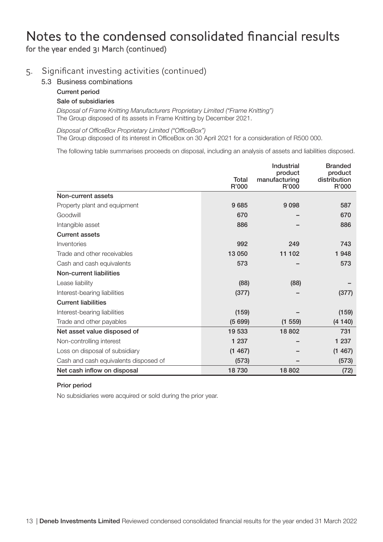#### 5. Significant investing activities (continued)

- 5.3 Business combinations
	- Current period

#### Sale of subsidiaries

*Disposal of Frame Knitting Manufacturers Proprietary Limited ("Frame Knitting")* The Group disposed of its assets in Frame Knitting by December 2021.

*Disposal of OfficeBox Proprietary Limited ("OfficeBox")* The Group disposed of its interest in OfficeBox on 30 April 2021 for a consideration of R500 000.

The following table summarises proceeds on disposal, including an analysis of assets and liabilities disposed.

|                                       | Total<br>R'000 | Industrial<br>product<br>manufacturing<br>R'000 | <b>Branded</b><br>product<br>distribution<br>R'000 |
|---------------------------------------|----------------|-------------------------------------------------|----------------------------------------------------|
| Non-current assets                    |                |                                                 |                                                    |
| Property plant and equipment          | 9685           | 9098                                            | 587                                                |
| Goodwill                              | 670            |                                                 | 670                                                |
| Intangible asset                      | 886            |                                                 | 886                                                |
| <b>Current assets</b>                 |                |                                                 |                                                    |
| Inventories                           | 992            | 249                                             | 743                                                |
| Trade and other receivables           | 13 050         | 11 102                                          | 1948                                               |
| Cash and cash equivalents             | 573            |                                                 | 573                                                |
| Non-current liabilities               |                |                                                 |                                                    |
| Lease liability                       | (88)           | (88)                                            |                                                    |
| Interest-bearing liabilities          | (377)          |                                                 | (377)                                              |
| <b>Current liabilities</b>            |                |                                                 |                                                    |
| Interest-bearing liabilities          | (159)          |                                                 | (159)                                              |
| Trade and other payables              | (5699)         | (1 559)                                         | (4140)                                             |
| Net asset value disposed of           | 19 533         | 18 802                                          | 731                                                |
| Non-controlling interest              | 1 2 3 7        |                                                 | 1 2 3 7                                            |
| Loss on disposal of subsidiary        | (1467)         |                                                 | (1467)                                             |
| Cash and cash equivalents disposed of | (573)          |                                                 | (573)                                              |
| Net cash inflow on disposal           | 18730          | 18 802                                          | (72)                                               |

#### Prior period

No subsidiaries were acquired or sold during the prior year.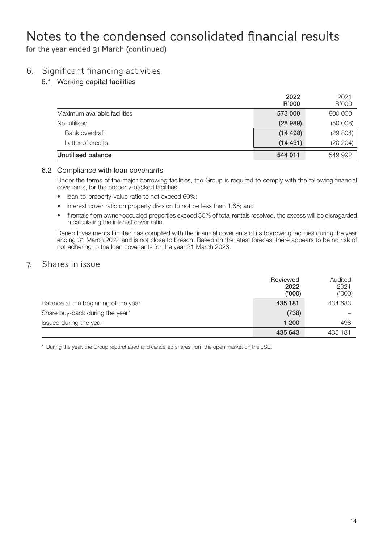#### 6. Significant financing activities

6.1 Working capital facilities

|                              | 2022<br>R'000 | 2021<br>R'000 |
|------------------------------|---------------|---------------|
| Maximum available facilities | 573 000       | 600 000       |
| Net utilised                 | (28989)       | (50008)       |
| Bank overdraft               | (14498)       | (29804)       |
| Letter of credits            | (14491)       | (20 204)      |
| Unutilised balance           | 544 011       | 549 992       |

#### 6.2 Compliance with loan covenants

Under the terms of the major borrowing facilities, the Group is required to comply with the following financial covenants, for the property-backed facilities:

- loan-to-property-value ratio to not exceed 60%;
- interest cover ratio on property division to not be less than 1,65; and
- if rentals from owner-occupied properties exceed 30% of total rentals received, the excess will be disregarded in calculating the interest cover ratio.

Deneb Investments Limited has complied with the financial covenants of its borrowing facilities during the year ending 31 March 2022 and is not close to breach. Based on the latest forecast there appears to be no risk of not adhering to the loan covenants for the year 31 March 2023.

#### 7. Shares in issue

|                                      | Reviewed<br>2022<br>('000) | Audited<br>2021<br>('000') |
|--------------------------------------|----------------------------|----------------------------|
| Balance at the beginning of the year | 435 181                    | 434 683                    |
| Share buy-back during the year*      | (738)                      |                            |
| Issued during the year               | 1 200                      | 498                        |
|                                      | 435 643                    | 435 181                    |

\* During the year, the Group repurchased and cancelled shares from the open market on the JSE.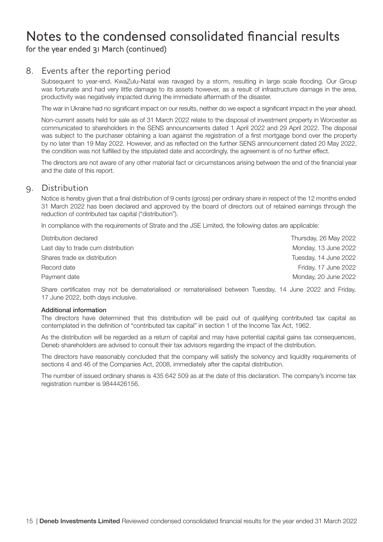#### 8. Events after the reporting period

Subsequent to year-end, KwaZulu-Natal was ravaged by a storm, resulting in large scale flooding. Our Group was fortunate and had very little damage to its assets however, as a result of infrastructure damage in the area, productivity was negatively impacted during the immediate aftermath of the disaster.

The war in Ukraine had no significant impact on our results, neither do we expect a significant impact in the year ahead.

Non-current assets held for sale as of 31 March 2022 relate to the disposal of investment property in Worcester as communicated to shareholders in the SENS announcements dated 1 April 2022 and 29 April 2022. The disposal was subject to the purchaser obtaining a loan against the registration of a first mortgage bond over the property by no later than 19 May 2022. However, and as reflected on the further SENS announcement dated 20 May 2022, the condition was not fulfilled by the stipulated date and accordingly, the agreement is of no further effect.

The directors are not aware of any other material fact or circumstances arising between the end of the financial year and the date of this report.

#### 9. Distribution

Notice is hereby given that a final distribution of 9 cents (gross) per ordinary share in respect of the 12 months ended 31 March 2022 has been declared and approved by the board of directors out of retained earnings through the reduction of contributed tax capital ("distribution").

In compliance with the requirements of Strate and the JSE Limited, the following dates are applicable:

| Thursday, 26 May 2022 |
|-----------------------|
| Monday, 13 June 2022  |
| Tuesday, 14 June 2022 |
| Friday, 17 June 2022  |
| Monday, 20 June 2022  |
|                       |

Share certificates may not be dematerialised or rematerialised between Tuesday, 14 June 2022 and Friday, 17 June 2022, both days inclusive.

#### Additional information

The directors have determined that this distribution will be paid out of qualifying contributed tax capital as contemplated in the definition of "contributed tax capital" in section 1 of the Income Tax Act, 1962.

As the distribution will be regarded as a return of capital and may have potential capital gains tax consequences, Deneb shareholders are advised to consult their tax advisors regarding the impact of the distribution.

The directors have reasonably concluded that the company will satisfy the solvency and liquidity requirements of sections 4 and 46 of the Companies Act, 2008, immediately after the capital distribution.

The number of issued ordinary shares is 435 642 509 as at the date of this declaration. The company's income tax registration number is 9844426156.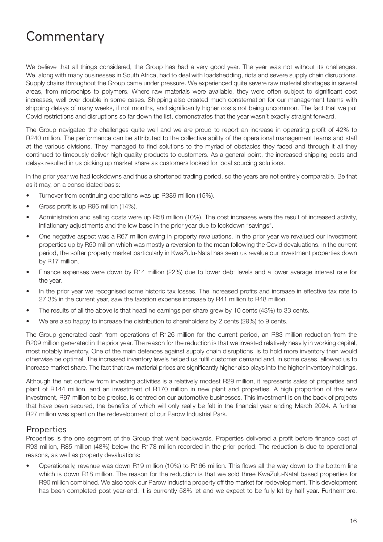# **Commentary**

We believe that all things considered, the Group has had a very good year. The year was not without its challenges. We, along with many businesses in South Africa, had to deal with loadshedding, riots and severe supply chain disruptions. Supply chains throughout the Group came under pressure. We experienced quite severe raw material shortages in several areas, from microchips to polymers. Where raw materials were available, they were often subject to significant cost increases, well over double in some cases. Shipping also created much consternation for our management teams with shipping delays of many weeks, if not months, and significantly higher costs not being uncommon. The fact that we put Covid restrictions and disruptions so far down the list, demonstrates that the year wasn't exactly straight forward.

The Group navigated the challenges quite well and we are proud to report an increase in operating profit of 42% to R240 million. The performance can be attributed to the collective ability of the operational management teams and staff at the various divisions. They managed to find solutions to the myriad of obstacles they faced and through it all they continued to timeously deliver high quality products to customers. As a general point, the increased shipping costs and delays resulted in us picking up market share as customers looked for local sourcing solutions.

In the prior year we had lockdowns and thus a shortened trading period, so the years are not entirely comparable. Be that as it may, on a consolidated basis:

- Turnover from continuing operations was up R389 million (15%).
- Gross profit is up R96 million (14%).
- Administration and selling costs were up R58 million (10%). The cost increases were the result of increased activity, inflationary adjustments and the low base in the prior year due to lockdown "savings".
- One negative aspect was a R67 million swing in property revaluations. In the prior year we revalued our investment properties up by R50 million which was mostly a reversion to the mean following the Covid devaluations. In the current period, the softer property market particularly in KwaZulu-Natal has seen us revalue our investment properties down by R17 million.
- Finance expenses were down by R14 million (22%) due to lower debt levels and a lower average interest rate for the year.
- In the prior year we recognised some historic tax losses. The increased profits and increase in effective tax rate to 27.3% in the current year, saw the taxation expense increase by R41 million to R48 million.
- The results of all the above is that headline earnings per share grew by 10 cents (43%) to 33 cents.
- We are also happy to increase the distribution to shareholders by 2 cents (29%) to 9 cents.

The Group generated cash from operations of R126 million for the current period, an R83 million reduction from the R209 million generated in the prior year. The reason for the reduction is that we invested relatively heavily in working capital, most notably inventory. One of the main defences against supply chain disruptions, is to hold more inventory then would otherwise be optimal. The increased inventory levels helped us fulfil customer demand and, in some cases, allowed us to increase market share. The fact that raw material prices are significantly higher also plays into the higher inventory holdings.

Although the net outflow from investing activities is a relatively modest R29 million, it represents sales of properties and plant of R144 million, and an investment of R170 million in new plant and properties. A high proportion of the new investment, R97 million to be precise, is centred on our automotive businesses. This investment is on the back of projects that have been secured, the benefits of which will only really be felt in the financial year ending March 2024. A further R27 million was spent on the redevelopment of our Parow Industrial Park.

#### **Properties**

Properties is the one segment of the Group that went backwards. Properties delivered a profit before finance cost of R93 million, R85 million (48%) below the R178 million recorded in the prior period. The reduction is due to operational reasons, as well as property devaluations:

• Operationally, revenue was down R19 million (10%) to R166 million. This flows all the way down to the bottom line which is down R18 million. The reason for the reduction is that we sold three KwaZulu-Natal based properties for R90 million combined. We also took our Parow Industria property off the market for redevelopment. This development has been completed post year-end. It is currently 58% let and we expect to be fully let by half year. Furthermore,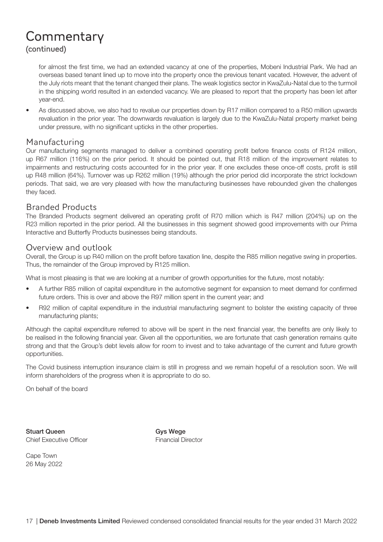### **Commentary** (continued)

for almost the first time, we had an extended vacancy at one of the properties, Mobeni Industrial Park. We had an overseas based tenant lined up to move into the property once the previous tenant vacated. However, the advent of the July riots meant that the tenant changed their plans. The weak logistics sector in KwaZulu-Natal due to the turmoil in the shipping world resulted in an extended vacancy. We are pleased to report that the property has been let after year-end.

• As discussed above, we also had to revalue our properties down by R17 million compared to a R50 million upwards revaluation in the prior year. The downwards revaluation is largely due to the KwaZulu-Natal property market being under pressure, with no significant upticks in the other properties.

#### Manufacturing

Our manufacturing segments managed to deliver a combined operating profit before finance costs of R124 million, up R67 million (116%) on the prior period. It should be pointed out, that R18 million of the improvement relates to impairments and restructuring costs accounted for in the prior year. If one excludes these once-off costs, profit is still up R48 million (64%). Turnover was up R262 million (19%) although the prior period did incorporate the strict lockdown periods. That said, we are very pleased with how the manufacturing businesses have rebounded given the challenges they faced.

#### Branded Products

The Branded Products segment delivered an operating profit of R70 million which is R47 million (204%) up on the R23 million reported in the prior period. All the businesses in this segment showed good improvements with our Prima Interactive and Butterfly Products businesses being standouts.

#### Overview and outlook

Overall, the Group is up R40 million on the profit before taxation line, despite the R85 million negative swing in properties. Thus, the remainder of the Group improved by R125 million.

What is most pleasing is that we are looking at a number of growth opportunities for the future, most notably:

- A further R85 million of capital expenditure in the automotive segment for expansion to meet demand for confirmed future orders. This is over and above the R97 million spent in the current year; and
- R92 million of capital expenditure in the industrial manufacturing segment to bolster the existing capacity of three manufacturing plants:

Although the capital expenditure referred to above will be spent in the next financial year, the benefits are only likely to be realised in the following financial year. Given all the opportunities, we are fortunate that cash generation remains quite strong and that the Group's debt levels allow for room to invest and to take advantage of the current and future growth opportunities.

The Covid business interruption insurance claim is still in progress and we remain hopeful of a resolution soon. We will inform shareholders of the progress when it is appropriate to do so.

On behalf of the board

Stuart Queen Gys Wege Chief Executive Officer **Financial Director** 

Cape Town 26 May 2022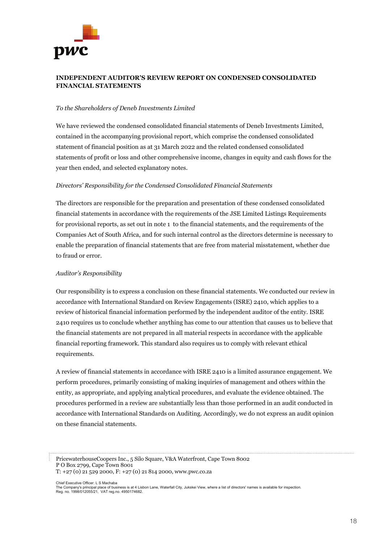# pwc

#### **INDEPENDENT AUDITOR'S REVIEW REPORT ON CONDENSED CONSOLIDATED FINANCIAL STATEMENTS**

#### *To the Shareholders of Deneb Investments Limited*

We have reviewed the condensed consolidated financial statements of Deneb Investments Limited, contained in the accompanying provisional report, which comprise the condensed consolidated statement of financial position as at 31 March 2022 and the related condensed consolidated statements of profit or loss and other comprehensive income, changes in equity and cash flows for the year then ended, and selected explanatory notes.

#### *Directors' Responsibility for the Condensed Consolidated Financial Statements*

The directors are responsible for the preparation and presentation of these condensed consolidated financial statements in accordance with the requirements of the JSE Limited Listings Requirements for provisional reports, as set out in note 1 to the financial statements, and the requirements of the Companies Act of South Africa, and for such internal control as the directors determine is necessary to enable the preparation of financial statements that are free from material misstatement, whether due to fraud or error.

#### *Auditor's Responsibility*

Our responsibility is to express a conclusion on these financial statements. We conducted our review in accordance with International Standard on Review Engagements (ISRE) 2410, which applies to a review of historical financial information performed by the independent auditor of the entity. ISRE 2410 requires us to conclude whether anything has come to our attention that causes us to believe that the financial statements are not prepared in all material respects in accordance with the applicable financial reporting framework. This standard also requires us to comply with relevant ethical requirements.

A review of financial statements in accordance with ISRE 2410 is a limited assurance engagement. We perform procedures, primarily consisting of making inquiries of management and others within the entity, as appropriate, and applying analytical procedures, and evaluate the evidence obtained. The procedures performed in a review are substantially less than those performed in an audit conducted in accordance with International Standards on Auditing. Accordingly, we do not express an audit opinion on these financial statements.

PricewaterhouseCoopers Inc., 5 Silo Square, V&A Waterfront, Cape Town 8002 P O Box 2799, Cape Town 8001 T: +27 (0) 21 529 2000, F: +27 (0) 21 814 2000, www.pwc.co.za

Chief Executive Officer: L S Machaba

The Company's principal place of business is at 4 Lisbon Lane, Waterfall City, Jukskei View, where a list of directors' names is available for inspection. Reg. no. 1998/012055/21, VAT reg.no. 4950174682.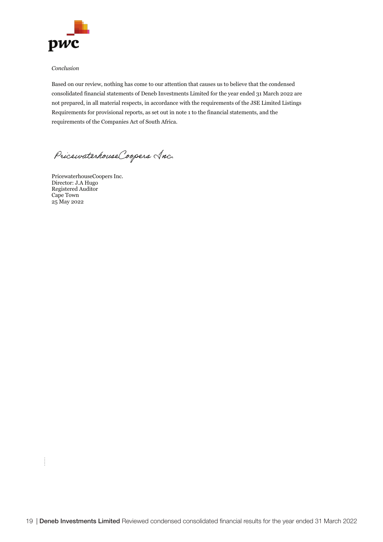

#### *Conclusion*

Based on our review, nothing has come to our attention that causes us to believe that the condensed consolidated financial statements of Deneb Investments Limited for the year ended 31 March 2022 are not prepared, in all material respects, in accordance with the requirements of the JSE Limited Listings Requirements for provisional reports, as set out in note 1 to the financial statements, and the requirements of the Companies Act of South Africa.

Pricewaterhouse Coopers Anc.

PricewaterhouseCoopers Inc. Director: J.A Hugo Registered Auditor Cape Town 25 May 2022